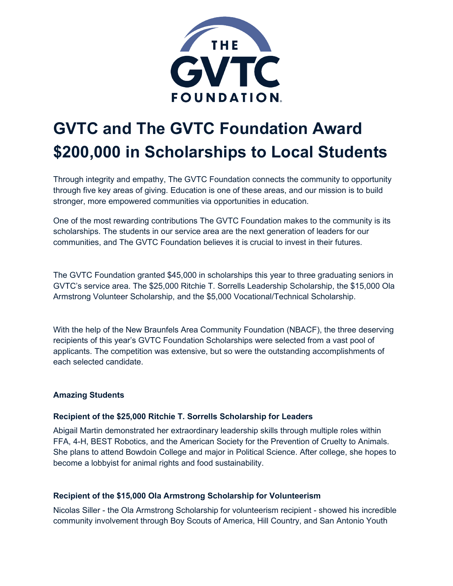

# **GVTC and The GVTC Foundation Award \$200,000 in Scholarships to Local Students**

Through integrity and empathy, The GVTC Foundation connects the community to opportunity through five key areas of giving. Education is one of these areas, and our mission is to build stronger, more empowered communities via opportunities in education.

One of the most rewarding contributions The GVTC Foundation makes to the community is its scholarships. The students in our service area are the next generation of leaders for our communities, and The GVTC Foundation believes it is crucial to invest in their futures.

The GVTC Foundation granted \$45,000 in scholarships this year to three graduating seniors in GVTC's service area. The \$25,000 Ritchie T. Sorrells Leadership Scholarship, the \$15,000 Ola Armstrong Volunteer Scholarship, and the \$5,000 Vocational/Technical Scholarship.

With the help of the New Braunfels Area Community Foundation (NBACF), the three deserving recipients of this year's GVTC Foundation Scholarships were selected from a vast pool of applicants. The competition was extensive, but so were the outstanding accomplishments of each selected candidate.

# **Amazing Students**

# **Recipient of the \$25,000 Ritchie T. Sorrells Scholarship for Leaders**

Abigail Martin demonstrated her extraordinary leadership skills through multiple roles within FFA, 4-H, BEST Robotics, and the American Society for the Prevention of Cruelty to Animals. She plans to attend Bowdoin College and major in Political Science. After college, she hopes to become a lobbyist for animal rights and food sustainability.

# **Recipient of the \$15,000 Ola Armstrong Scholarship for Volunteerism**

Nicolas Siller - the Ola Armstrong Scholarship for volunteerism recipient - showed his incredible community involvement through Boy Scouts of America, Hill Country, and San Antonio Youth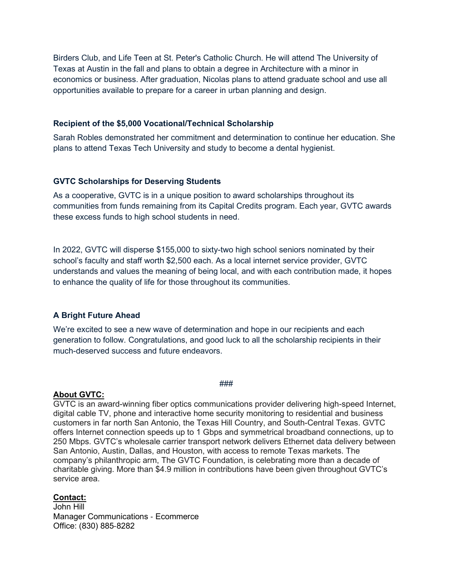Birders Club, and Life Teen at St. Peter's Catholic Church. He will attend The University of Texas at Austin in the fall and plans to obtain a degree in Architecture with a minor in economics or business. After graduation, Nicolas plans to attend graduate school and use all opportunities available to prepare for a career in urban planning and design.

#### **Recipient of the \$5,000 Vocational/Technical Scholarship**

Sarah Robles demonstrated her commitment and determination to continue her education. She plans to attend Texas Tech University and study to become a dental hygienist.

## **GVTC Scholarships for Deserving Students**

As a cooperative, GVTC is in a unique position to award scholarships throughout its communities from funds remaining from its Capital Credits program. Each year, GVTC awards these excess funds to high school students in need.

In 2022, GVTC will disperse \$155,000 to sixty-two high school seniors nominated by their school's faculty and staff worth \$2,500 each. As a local internet service provider, GVTC understands and values the meaning of being local, and with each contribution made, it hopes to enhance the quality of life for those throughout its communities.

## **A Bright Future Ahead**

We're excited to see a new wave of determination and hope in our recipients and each generation to follow. Congratulations, and good luck to all the scholarship recipients in their much-deserved success and future endeavors.

#### **About GVTC:**

###

GVTC is an award-winning fiber optics communications provider delivering high-speed Internet, digital cable TV, phone and interactive home security monitoring to residential and business customers in far north San Antonio, the Texas Hill Country, and South-Central Texas. GVTC offers Internet connection speeds up to 1 Gbps and symmetrical broadband connections, up to 250 Mbps. GVTC's wholesale carrier transport network delivers Ethernet data delivery between San Antonio, Austin, Dallas, and Houston, with access to remote Texas markets. The company's philanthropic arm, The GVTC Foundation, is celebrating more than a decade of charitable giving. More than \$4.9 million in contributions have been given throughout GVTC's service area.

## **Contact:**

John Hill Manager Communications ‐ Ecommerce Office: (830) 885‐8282